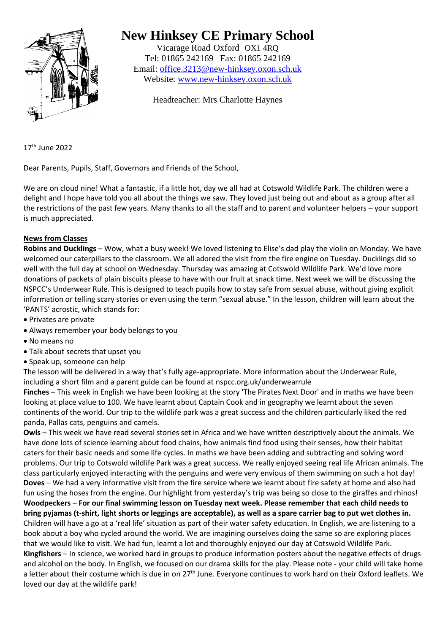

# **New Hinksey CE Primary School**

Vicarage Road Oxford OX1 4RQ Tel: 01865 242169 Fax: 01865 242169 Email: [office.3213@new-hinksey.oxon.sch.uk](mailto:office.3213@new-hinksey.oxon.sch.uk) Website: [www.new-hinksey.oxon.sch.uk](http://www.new-hinksey.oxon.sch.uk/)

Headteacher: Mrs Charlotte Haynes

17 th June 2022

Dear Parents, Pupils, Staff, Governors and Friends of the School,

We are on cloud nine! What a fantastic, if a little hot, day we all had at Cotswold Wildlife Park. The children were a delight and I hope have told you all about the things we saw. They loved just being out and about as a group after all the restrictions of the past few years. Many thanks to all the staff and to parent and volunteer helpers – your support is much appreciated.

## **News from Classes**

**Robins and Ducklings** – Wow, what a busy week! We loved listening to Elise's dad play the violin on Monday. We have welcomed our caterpillars to the classroom. We all adored the visit from the fire engine on Tuesday. Ducklings did so well with the full day at school on Wednesday. Thursday was amazing at Cotswold Wildlife Park. We'd love more donations of packets of plain biscuits please to have with our fruit at snack time. Next week we will be discussing the NSPCC's Underwear Rule. This is designed to teach pupils how to stay safe from sexual abuse, without giving explicit information or telling scary stories or even using the term "sexual abuse." In the lesson, children will learn about the 'PANTS' acrostic, which stands for:

- Privates are private
- Always remember your body belongs to you
- No means no
- Talk about secrets that upset you
- Speak up, someone can help

The lesson will be delivered in a way that's fully age-appropriate. More information about the Underwear Rule, including a short film and a parent guide can be found at nspcc.org.uk/underwearrule

**Finches** – This week in English we have been looking at the story 'The Pirates Next Door' and in maths we have been looking at place value to 100. We have learnt about Captain Cook and in geography we learnt about the seven continents of the world. Our trip to the wildlife park was a great success and the children particularly liked the red panda, Pallas cats, penguins and camels.

**Owls** – This week we have read several stories set in Africa and we have written descriptively about the animals. We have done lots of science learning about food chains, how animals find food using their senses, how their habitat caters for their basic needs and some life cycles. In maths we have been adding and subtracting and solving word problems. Our trip to Cotswold wildlife Park was a great success. We really enjoyed seeing real life African animals. The class particularly enjoyed interacting with the penguins and were very envious of them swimming on such a hot day! **Doves** – We had a very informative visit from the fire service where we learnt about fire safety at home and also had fun using the hoses from the engine. Our highlight from yesterday's trip was being so close to the giraffes and rhinos! **Woodpeckers** – **For our final swimming lesson on Tuesday next week. Please remember that each child needs to bring pyjamas (t-shirt, light shorts or leggings are acceptable), as well as a spare carrier bag to put wet clothes in.** Children will have a go at a 'real life' situation as part of their water safety education. In English, we are listening to a book about a boy who cycled around the world. We are imagining ourselves doing the same so are exploring places that we would like to visit. We had fun, learnt a lot and thoroughly enjoyed our day at Cotswold Wildlife Park. **Kingfishers** – In science, we worked hard in groups to produce information posters about the negative effects of drugs and alcohol on the body. In English, we focused on our drama skills for the play. Please note - your child will take home a letter about their costume which is due in on 27<sup>th</sup> June. Everyone continues to work hard on their Oxford leaflets. We loved our day at the wildlife park!